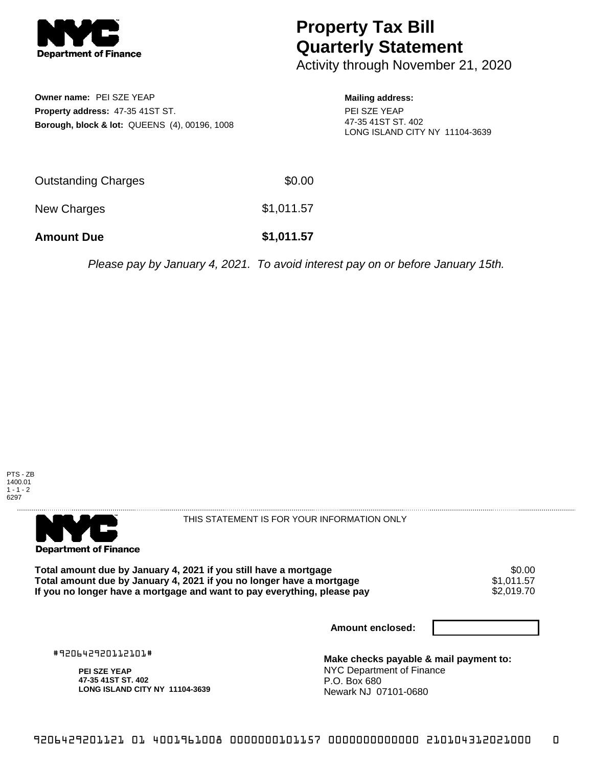

## **Property Tax Bill Quarterly Statement**

Activity through November 21, 2020

**Owner name:** PEI SZE YEAP **Property address:** 47-35 41ST ST. **Borough, block & lot:** QUEENS (4), 00196, 1008

## **Mailing address:**

PEI SZE YEAP 47-35 41ST ST. 402 LONG ISLAND CITY NY 11104-3639

| <b>Amount Due</b>   | \$1,011.57 |
|---------------------|------------|
| New Charges         | \$1,011.57 |
| Outstanding Charges | \$0.00     |

Please pay by January 4, 2021. To avoid interest pay on or before January 15th.



. . . . . . . . . . . . . . . . . **Department of Finance** 

THIS STATEMENT IS FOR YOUR INFORMATION ONLY

Total amount due by January 4, 2021 if you still have a mortgage **\$0.00** \$0.00<br>Total amount due by January 4, 2021 if you no longer have a mortgage **\$1,011.57 Total amount due by January 4, 2021 if you no longer have a mortgage**  $$1,011.57$ **<br>If you no longer have a mortgage and want to pay everything, please pay <b>show that have a** \$2,019.70 If you no longer have a mortgage and want to pay everything, please pay

**Amount enclosed:**

#920642920112101#

**PEI SZE YEAP 47-35 41ST ST. 402 LONG ISLAND CITY NY 11104-3639**

**Make checks payable & mail payment to:** NYC Department of Finance P.O. Box 680 Newark NJ 07101-0680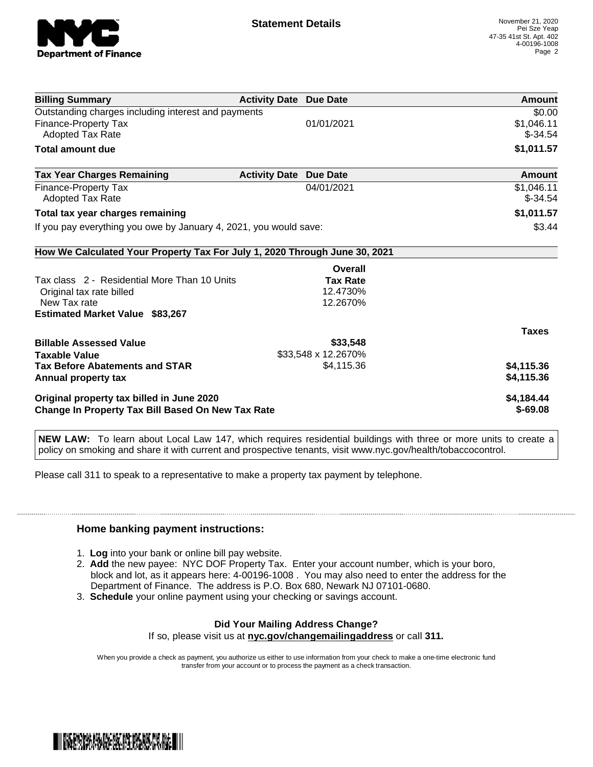

| <b>Billing Summary</b>                                                     | <b>Activity Date Due Date</b> |                     | Amount       |
|----------------------------------------------------------------------------|-------------------------------|---------------------|--------------|
| Outstanding charges including interest and payments                        |                               |                     | \$0.00       |
| Finance-Property Tax                                                       |                               | 01/01/2021          | \$1,046.11   |
| Adopted Tax Rate                                                           |                               |                     | $$-34.54$    |
| Total amount due                                                           |                               |                     | \$1,011.57   |
| <b>Tax Year Charges Remaining</b>                                          | <b>Activity Date</b>          | <b>Due Date</b>     | Amount       |
| Finance-Property Tax                                                       |                               | 04/01/2021          | \$1,046.11   |
| Adopted Tax Rate                                                           |                               |                     | $$-34.54$    |
| Total tax year charges remaining                                           |                               |                     | \$1,011.57   |
| If you pay everything you owe by January 4, 2021, you would save:          |                               | \$3.44              |              |
| How We Calculated Your Property Tax For July 1, 2020 Through June 30, 2021 |                               |                     |              |
|                                                                            |                               | Overall             |              |
| Tax class 2 - Residential More Than 10 Units                               |                               | <b>Tax Rate</b>     |              |
| Original tax rate billed                                                   |                               | 12.4730%            |              |
| New Tax rate                                                               |                               | 12.2670%            |              |
| <b>Estimated Market Value \$83,267</b>                                     |                               |                     |              |
|                                                                            |                               |                     | <b>Taxes</b> |
| <b>Billable Assessed Value</b>                                             |                               | \$33,548            |              |
| <b>Taxable Value</b>                                                       |                               | \$33,548 x 12.2670% |              |
| <b>Tax Before Abatements and STAR</b>                                      |                               | \$4,115.36          | \$4,115.36   |
| Annual property tax                                                        |                               |                     | \$4,115.36   |
| Original property tax billed in June 2020                                  |                               |                     | \$4,184.44   |
| <b>Change In Property Tax Bill Based On New Tax Rate</b>                   |                               |                     | $$-69.08$    |

**NEW LAW:** To learn about Local Law 147, which requires residential buildings with three or more units to create a policy on smoking and share it with current and prospective tenants, visit www.nyc.gov/health/tobaccocontrol.

Please call 311 to speak to a representative to make a property tax payment by telephone.

## **Home banking payment instructions:**

- 1. **Log** into your bank or online bill pay website.
- 2. **Add** the new payee: NYC DOF Property Tax. Enter your account number, which is your boro, block and lot, as it appears here: 4-00196-1008 . You may also need to enter the address for the Department of Finance. The address is P.O. Box 680, Newark NJ 07101-0680.
- 3. **Schedule** your online payment using your checking or savings account.

## **Did Your Mailing Address Change?**

If so, please visit us at **nyc.gov/changemailingaddress** or call **311.**

When you provide a check as payment, you authorize us either to use information from your check to make a one-time electronic fund transfer from your account or to process the payment as a check transaction.